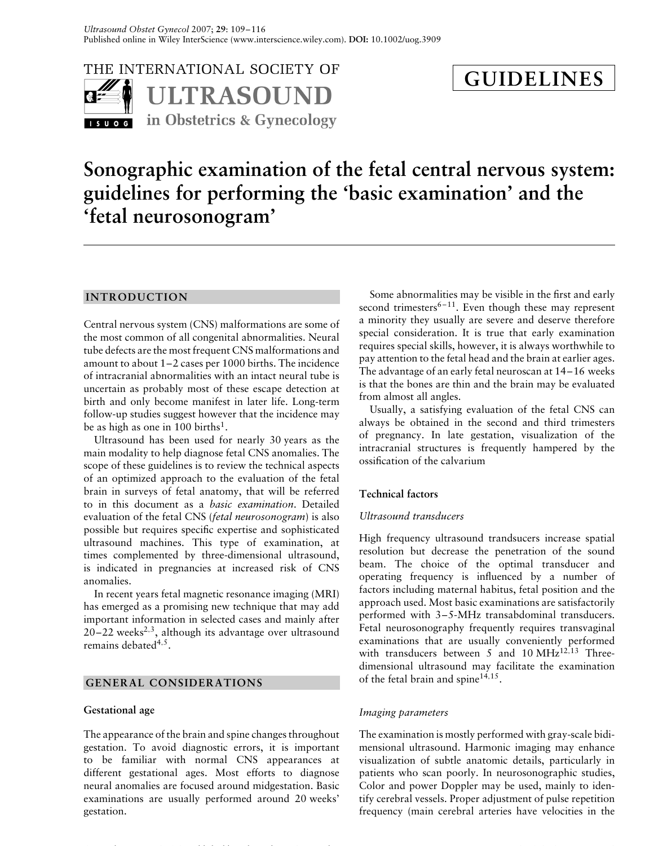

## **GUIDELINES**

# **Sonographic examination of the fetal central nervous system: guidelines for performing the 'basic examination' and the 'fetal neurosonogram'**

## **INTRODUCTION**

Central nervous system (CNS) malformations are some of the most common of all congenital abnormalities. Neural tube defects are the most frequent CNS malformations and amount to about 1–2 cases per 1000 births. The incidence of intracranial abnormalities with an intact neural tube is uncertain as probably most of these escape detection at birth and only become manifest in later life. Long-term follow-up studies suggest however that the incidence may be as high as one in 100 births<sup>1</sup>.

Ultrasound has been used for nearly 30 years as the main modality to help diagnose fetal CNS anomalies. The scope of these guidelines is to review the technical aspects of an optimized approach to the evaluation of the fetal brain in surveys of fetal anatomy, that will be referred to in this document as a *basic examination*. Detailed evaluation of the fetal CNS (*fetal neurosonogram*) is also possible but requires specific expertise and sophisticated ultrasound machines. This type of examination, at times complemented by three-dimensional ultrasound, is indicated in pregnancies at increased risk of CNS anomalies.

In recent years fetal magnetic resonance imaging (MRI) has emerged as a promising new technique that may add important information in selected cases and mainly after  $20-22$  weeks<sup>2,3</sup>, although its advantage over ultrasound remains debated<sup>4,5</sup>.

## **GENERAL CONSIDERATIONS**

## **Gestational age**

The appearance of the brain and spine changes throughout gestation. To avoid diagnostic errors, it is important to be familiar with normal CNS appearances at different gestational ages. Most efforts to diagnose neural anomalies are focused around midgestation. Basic examinations are usually performed around 20 weeks' gestation.

Some abnormalities may be visible in the first and early second trimesters<sup>6–11</sup>. Even though these may represent a minority they usually are severe and deserve therefore special consideration. It is true that early examination requires special skills, however, it is always worthwhile to pay attention to the fetal head and the brain at earlier ages. The advantage of an early fetal neuroscan at 14–16 weeks is that the bones are thin and the brain may be evaluated from almost all angles.

Usually, a satisfying evaluation of the fetal CNS can always be obtained in the second and third trimesters of pregnancy. In late gestation, visualization of the intracranial structures is frequently hampered by the ossification of the calvarium

## **Technical factors**

## *Ultrasound transducers*

High frequency ultrasound trandsucers increase spatial resolution but decrease the penetration of the sound beam. The choice of the optimal transducer and operating frequency is influenced by a number of factors including maternal habitus, fetal position and the approach used. Most basic examinations are satisfactorily performed with 3–5-MHz transabdominal transducers. Fetal neurosonography frequently requires transvaginal examinations that are usually conveniently performed with transducers between 5 and 10  $MHz^{12,13}$  Threedimensional ultrasound may facilitate the examination of the fetal brain and spine $14,15$ .

#### *Imaging parameters*

The examination is mostly performed with gray-scale bidimensional ultrasound. Harmonic imaging may enhance visualization of subtle anatomic details, particularly in patients who scan poorly. In neurosonographic studies, Color and power Doppler may be used, mainly to identify cerebral vessels. Proper adjustment of pulse repetition frequency (main cerebral arteries have velocities in the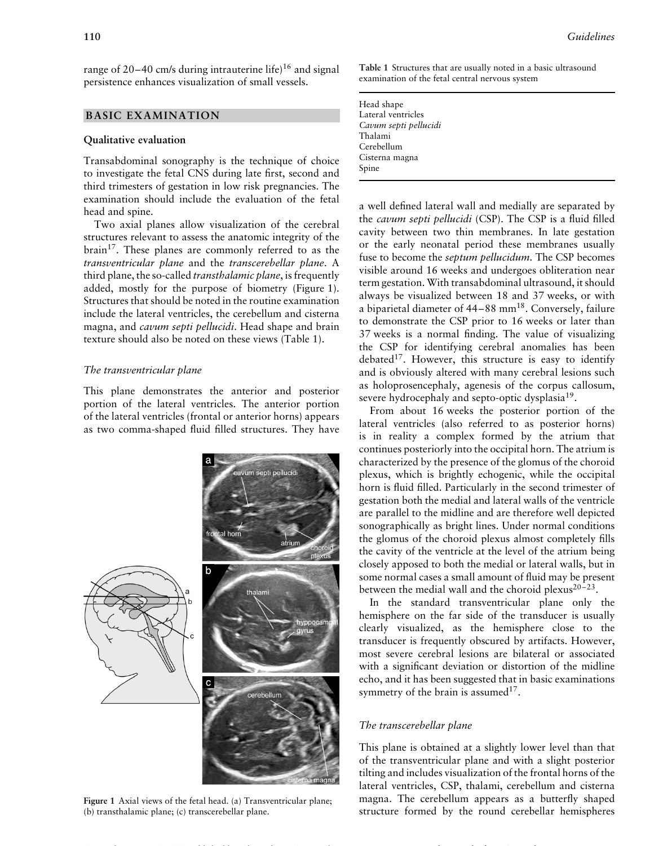range of  $20-40$  cm/s during intrauterine life)<sup>16</sup> and signal persistence enhances visualization of small vessels.

## **BASIC EXAMINATION**

#### **Qualitative evaluation**

Transabdominal sonography is the technique of choice to investigate the fetal CNS during late first, second and third trimesters of gestation in low risk pregnancies. The examination should include the evaluation of the fetal head and spine.

Two axial planes allow visualization of the cerebral structures relevant to assess the anatomic integrity of the  $brain<sup>17</sup>$ . These planes are commonly referred to as the *transventricular plane* and the *transcerebellar plane*. A third plane, the so-called *transthalamic plane*, isfrequently added, mostly for the purpose of biometry (Figure 1). Structures that should be noted in the routine examination include the lateral ventricles, the cerebellum and cisterna magna, and *cavum septi pellucidi*. Head shape and brain texture should also be noted on these views (Table 1).

#### *The transventricular plane*

This plane demonstrates the anterior and posterior portion of the lateral ventricles. The anterior portion of the lateral ventricles (frontal or anterior horns) appears as two comma-shaped fluid filled structures. They have



**Figure 1** Axial views of the fetal head. (a) Transventricular plane; (b) transthalamic plane; (c) transcerebellar plane.

**Table 1** Structures that are usually noted in a basic ultrasound examination of the fetal central nervous system

| Head shape            |  |
|-----------------------|--|
| Lateral ventricles    |  |
| Cavum septi pellucidi |  |
| Thalami               |  |
| Cerebellum            |  |
| Cisterna magna        |  |
| Spine                 |  |

a well defined lateral wall and medially are separated by the *cavum septi pellucidi* (CSP). The CSP is a fluid filled cavity between two thin membranes. In late gestation or the early neonatal period these membranes usually fuse to become the *septum pellucidum.* The CSP becomes visible around 16 weeks and undergoes obliteration near term gestation. With transabdominal ultrasound, it should always be visualized between 18 and 37 weeks, or with a biparietal diameter of  $44-88$  mm<sup>18</sup>. Conversely, failure to demonstrate the CSP prior to 16 weeks or later than 37 weeks is a normal finding. The value of visualizing the CSP for identifying cerebral anomalies has been debated<sup>17</sup>. However, this structure is easy to identify and is obviously altered with many cerebral lesions such as holoprosencephaly, agenesis of the corpus callosum, severe hydrocephaly and septo-optic dysplasia<sup>19</sup>.

From about 16 weeks the posterior portion of the lateral ventricles (also referred to as posterior horns) is in reality a complex formed by the atrium that continues posteriorly into the occipital horn. The atrium is characterized by the presence of the glomus of the choroid plexus, which is brightly echogenic, while the occipital horn is fluid filled. Particularly in the second trimester of gestation both the medial and lateral walls of the ventricle are parallel to the midline and are therefore well depicted sonographically as bright lines. Under normal conditions the glomus of the choroid plexus almost completely fills the cavity of the ventricle at the level of the atrium being closely apposed to both the medial or lateral walls, but in some normal cases a small amount of fluid may be present between the medial wall and the choroid plexus<sup>20–23</sup>.

In the standard transventricular plane only the hemisphere on the far side of the transducer is usually clearly visualized, as the hemisphere close to the transducer is frequently obscured by artifacts. However, most severe cerebral lesions are bilateral or associated with a significant deviation or distortion of the midline echo, and it has been suggested that in basic examinations symmetry of the brain is assumed<sup>17</sup>.

## *The transcerebellar plane*

This plane is obtained at a slightly lower level than that of the transventricular plane and with a slight posterior tilting and includes visualization of the frontal horns of the lateral ventricles, CSP, thalami, cerebellum and cisterna magna. The cerebellum appears as a butterfly shaped structure formed by the round cerebellar hemispheres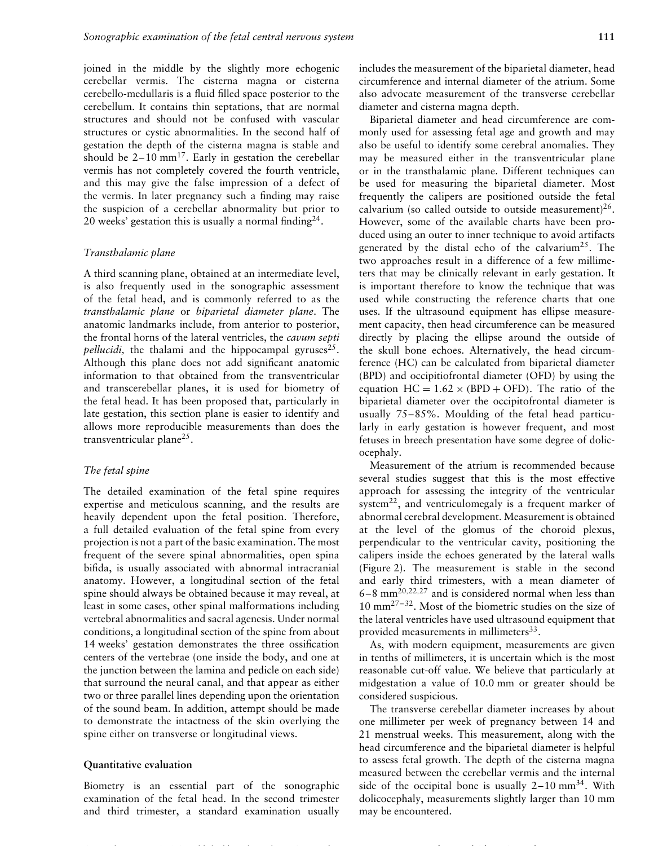joined in the middle by the slightly more echogenic cerebellar vermis. The cisterna magna or cisterna cerebello-medullaris is a fluid filled space posterior to the cerebellum. It contains thin septations, that are normal structures and should not be confused with vascular structures or cystic abnormalities. In the second half of gestation the depth of the cisterna magna is stable and should be  $2-10$  mm<sup>17</sup>. Early in gestation the cerebellar vermis has not completely covered the fourth ventricle, and this may give the false impression of a defect of the vermis. In later pregnancy such a finding may raise the suspicion of a cerebellar abnormality but prior to 20 weeks' gestation this is usually a normal finding<sup>24</sup>.

## *Transthalamic plane*

A third scanning plane, obtained at an intermediate level, is also frequently used in the sonographic assessment of the fetal head, and is commonly referred to as the *transthalamic plane* or *biparietal diameter plane*. The anatomic landmarks include, from anterior to posterior, the frontal horns of the lateral ventricles, the *cavum septi pellucidi*, the thalami and the hippocampal gyruses<sup>25</sup>. Although this plane does not add significant anatomic information to that obtained from the transventricular and transcerebellar planes, it is used for biometry of the fetal head. It has been proposed that, particularly in late gestation, this section plane is easier to identify and allows more reproducible measurements than does the transventricular plane<sup>25</sup>.

## *The fetal spine*

The detailed examination of the fetal spine requires expertise and meticulous scanning, and the results are heavily dependent upon the fetal position. Therefore, a full detailed evaluation of the fetal spine from every projection is not a part of the basic examination. The most frequent of the severe spinal abnormalities, open spina bifida, is usually associated with abnormal intracranial anatomy. However, a longitudinal section of the fetal spine should always be obtained because it may reveal, at least in some cases, other spinal malformations including vertebral abnormalities and sacral agenesis. Under normal conditions, a longitudinal section of the spine from about 14 weeks' gestation demonstrates the three ossification centers of the vertebrae (one inside the body, and one at the junction between the lamina and pedicle on each side) that surround the neural canal, and that appear as either two or three parallel lines depending upon the orientation of the sound beam. In addition, attempt should be made to demonstrate the intactness of the skin overlying the spine either on transverse or longitudinal views.

## **Quantitative evaluation**

Biometry is an essential part of the sonographic examination of the fetal head. In the second trimester and third trimester, a standard examination usually includes the measurement of the biparietal diameter, head circumference and internal diameter of the atrium. Some also advocate measurement of the transverse cerebellar diameter and cisterna magna depth.

Biparietal diameter and head circumference are commonly used for assessing fetal age and growth and may also be useful to identify some cerebral anomalies. They may be measured either in the transventricular plane or in the transthalamic plane. Different techniques can be used for measuring the biparietal diameter. Most frequently the calipers are positioned outside the fetal calvarium (so called outside to outside measurement)<sup>26</sup>. However, some of the available charts have been produced using an outer to inner technique to avoid artifacts generated by the distal echo of the calvarium<sup>25</sup>. The two approaches result in a difference of a few millimeters that may be clinically relevant in early gestation. It is important therefore to know the technique that was used while constructing the reference charts that one uses. If the ultrasound equipment has ellipse measurement capacity, then head circumference can be measured directly by placing the ellipse around the outside of the skull bone echoes. Alternatively, the head circumference (HC) can be calculated from biparietal diameter (BPD) and occipitiofrontal diameter (OFD) by using the equation  $HC = 1.62 \times (BPD + OFD)$ . The ratio of the biparietal diameter over the occipitofrontal diameter is usually 75–85%. Moulding of the fetal head particularly in early gestation is however frequent, and most fetuses in breech presentation have some degree of dolicocephaly.

Measurement of the atrium is recommended because several studies suggest that this is the most effective approach for assessing the integrity of the ventricular system<sup>22</sup>, and ventriculomegaly is a frequent marker of abnormal cerebral development. Measurement is obtained at the level of the glomus of the choroid plexus, perpendicular to the ventricular cavity, positioning the calipers inside the echoes generated by the lateral walls (Figure 2). The measurement is stable in the second and early third trimesters, with a mean diameter of  $6-8$  mm<sup>20,22,27</sup> and is considered normal when less than  $10 \text{ mm}^{27-32}$ . Most of the biometric studies on the size of the lateral ventricles have used ultrasound equipment that provided measurements in millimeters<sup>33</sup>.

As, with modern equipment, measurements are given in tenths of millimeters, it is uncertain which is the most reasonable cut-off value. We believe that particularly at midgestation a value of 10.0 mm or greater should be considered suspicious.

The transverse cerebellar diameter increases by about one millimeter per week of pregnancy between 14 and 21 menstrual weeks. This measurement, along with the head circumference and the biparietal diameter is helpful to assess fetal growth. The depth of the cisterna magna measured between the cerebellar vermis and the internal side of the occipital bone is usually  $2-10$  mm<sup>34</sup>. With dolicocephaly, measurements slightly larger than 10 mm may be encountered.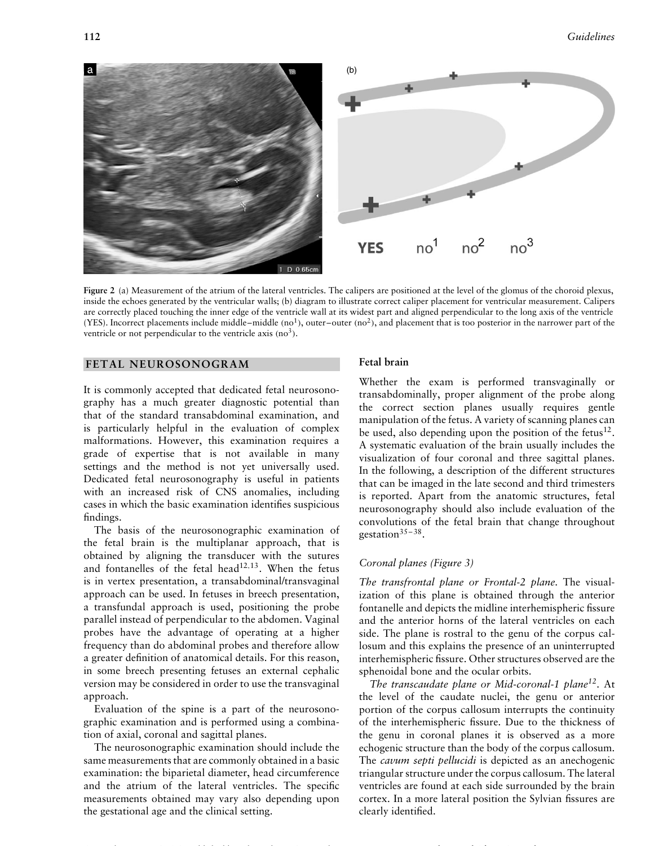

**Figure 2** (a) Measurement of the atrium of the lateral ventricles. The calipers are positioned at the level of the glomus of the choroid plexus, inside the echoes generated by the ventricular walls; (b) diagram to illustrate correct caliper placement for ventricular measurement. Calipers are correctly placed touching the inner edge of the ventricle wall at its widest part and aligned perpendicular to the long axis of the ventricle (YES). Incorrect placements include middle–middle (no<sup>1</sup>), outer–outer (no<sup>2</sup>), and placement that is too posterior in the narrower part of the ventricle or not perpendicular to the ventricle axis  $(no<sup>3</sup>)$ .

## **FETAL NEUROSONOGRAM**

It is commonly accepted that dedicated fetal neurosonography has a much greater diagnostic potential than that of the standard transabdominal examination, and is particularly helpful in the evaluation of complex malformations. However, this examination requires a grade of expertise that is not available in many settings and the method is not yet universally used. Dedicated fetal neurosonography is useful in patients with an increased risk of CNS anomalies, including cases in which the basic examination identifies suspicious findings.

The basis of the neurosonographic examination of the fetal brain is the multiplanar approach, that is obtained by aligning the transducer with the sutures and fontanelles of the fetal head<sup>12,13</sup>. When the fetus is in vertex presentation, a transabdominal/transvaginal approach can be used. In fetuses in breech presentation, a transfundal approach is used, positioning the probe parallel instead of perpendicular to the abdomen. Vaginal probes have the advantage of operating at a higher frequency than do abdominal probes and therefore allow a greater definition of anatomical details. For this reason, in some breech presenting fetuses an external cephalic version may be considered in order to use the transvaginal approach.

Evaluation of the spine is a part of the neurosonographic examination and is performed using a combination of axial, coronal and sagittal planes.

The neurosonographic examination should include the same measurements that are commonly obtained in a basic examination: the biparietal diameter, head circumference and the atrium of the lateral ventricles. The specific measurements obtained may vary also depending upon the gestational age and the clinical setting.

## **Fetal brain**

Whether the exam is performed transvaginally or transabdominally, proper alignment of the probe along the correct section planes usually requires gentle manipulation of the fetus. A variety of scanning planes can be used, also depending upon the position of the fetus<sup>12</sup>. A systematic evaluation of the brain usually includes the visualization of four coronal and three sagittal planes. In the following, a description of the different structures that can be imaged in the late second and third trimesters is reported. Apart from the anatomic structures, fetal neurosonography should also include evaluation of the convolutions of the fetal brain that change throughout gestation $35-38$ .

#### *Coronal planes (Figure 3)*

*The transfrontal plane or Frontal-2 plane.* The visualization of this plane is obtained through the anterior fontanelle and depicts the midline interhemispheric fissure and the anterior horns of the lateral ventricles on each side. The plane is rostral to the genu of the corpus callosum and this explains the presence of an uninterrupted interhemispheric fissure. Other structures observed are the sphenoidal bone and the ocular orbits.

*The transcaudate plane or Mid-coronal-1 plane12.* At the level of the caudate nuclei, the genu or anterior portion of the corpus callosum interrupts the continuity of the interhemispheric fissure. Due to the thickness of the genu in coronal planes it is observed as a more echogenic structure than the body of the corpus callosum. The *cavum septi pellucidi* is depicted as an anechogenic triangular structure under the corpus callosum. The lateral ventricles are found at each side surrounded by the brain cortex. In a more lateral position the Sylvian fissures are clearly identified.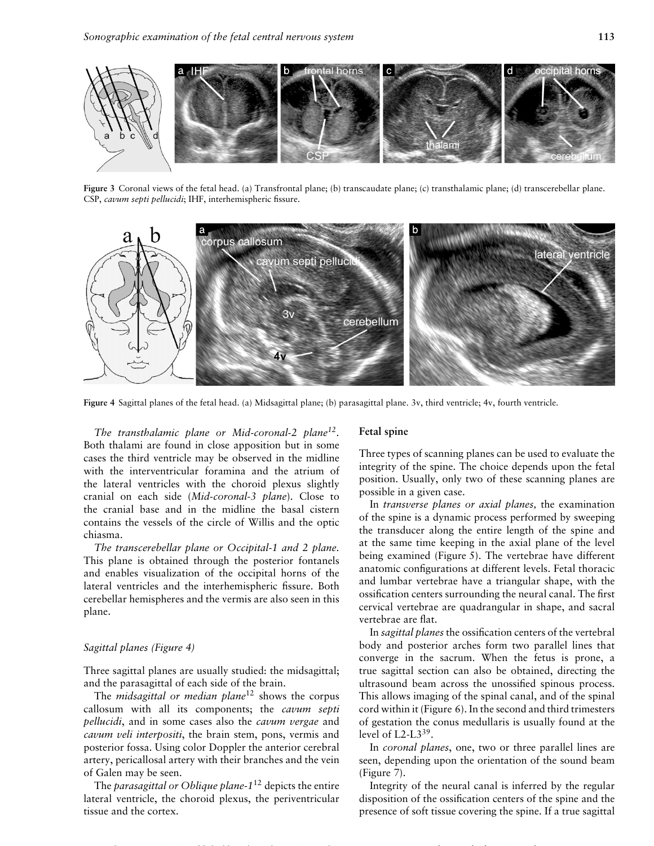

**Figure** 3 Coronal views of the fetal head. (a) Transfrontal plane; (b) transcaudate plane; (c) transthalamic plane; (d) transcerebellar plane. CSP, *cavum septi pellucidi*; IHF, interhemispheric fissure.



**Figure 4** Sagittal planes of the fetal head. (a) Midsagittal plane; (b) parasagittal plane. 3v, third ventricle; 4v, fourth ventricle.

*The transthalamic plane or Mid-coronal-2 plane12.* Both thalami are found in close apposition but in some cases the third ventricle may be observed in the midline with the interventricular foramina and the atrium of the lateral ventricles with the choroid plexus slightly cranial on each side (*Mid-coronal-3 plane*). Close to the cranial base and in the midline the basal cistern contains the vessels of the circle of Willis and the optic chiasma.

*The transcerebellar plane or Occipital-1 and 2 plane.* This plane is obtained through the posterior fontanels and enables visualization of the occipital horns of the lateral ventricles and the interhemispheric fissure. Both cerebellar hemispheres and the vermis are also seen in this plane.

## *Sagittal planes (Figure 4)*

Three sagittal planes are usually studied: the midsagittal; and the parasagittal of each side of the brain.

The *midsagittal or median plane*<sup>12</sup> shows the corpus callosum with all its components; the *cavum septi pellucidi*, and in some cases also the *cavum vergae* and *cavum veli interpositi*, the brain stem, pons, vermis and posterior fossa. Using color Doppler the anterior cerebral artery, pericallosal artery with their branches and the vein of Galen may be seen.

The *parasagittal or Oblique plane-1*<sup>12</sup> depicts the entire lateral ventricle, the choroid plexus, the periventricular tissue and the cortex.

#### **Fetal spine**

Three types of scanning planes can be used to evaluate the integrity of the spine. The choice depends upon the fetal position. Usually, only two of these scanning planes are possible in a given case.

In *transverse planes or axial planes,* the examination of the spine is a dynamic process performed by sweeping the transducer along the entire length of the spine and at the same time keeping in the axial plane of the level being examined (Figure 5). The vertebrae have different anatomic configurations at different levels. Fetal thoracic and lumbar vertebrae have a triangular shape, with the ossification centers surrounding the neural canal. The first cervical vertebrae are quadrangular in shape, and sacral vertebrae are flat.

In *sagittal planes* the ossification centers of the vertebral body and posterior arches form two parallel lines that converge in the sacrum. When the fetus is prone, a true sagittal section can also be obtained, directing the ultrasound beam across the unossified spinous process. This allows imaging of the spinal canal, and of the spinal cord within it (Figure 6). In the second and third trimesters of gestation the conus medullaris is usually found at the level of  $L2-L3^{39}$ .

In *coronal planes*, one, two or three parallel lines are seen, depending upon the orientation of the sound beam (Figure 7).

Integrity of the neural canal is inferred by the regular disposition of the ossification centers of the spine and the presence of soft tissue covering the spine. If a true sagittal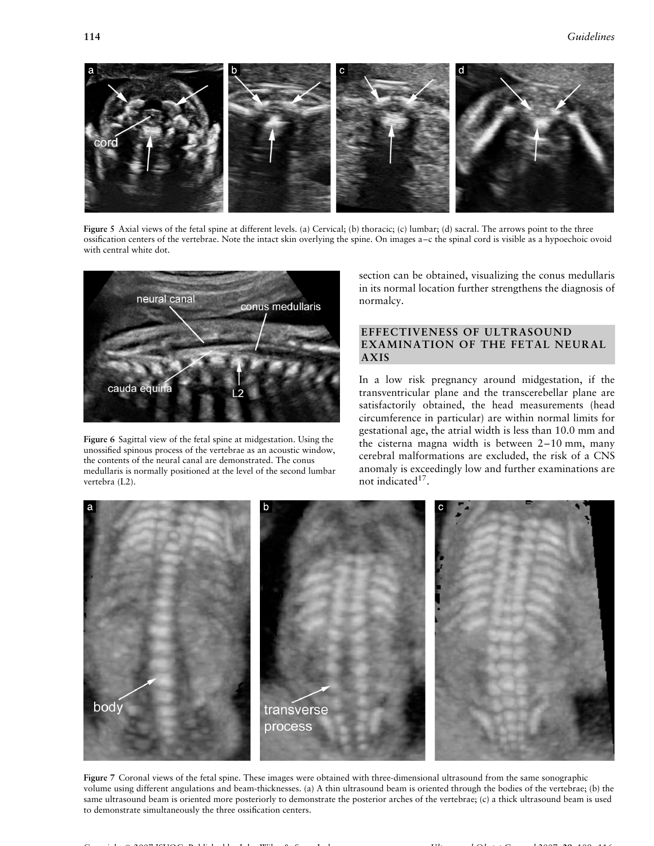

**Figure 5** Axial views of the fetal spine at different levels. (a) Cervical; (b) thoracic; (c) lumbar; (d) sacral. The arrows point to the three ossification centers of the vertebrae. Note the intact skin overlying the spine. On images a–c the spinal cord is visible as a hypoechoic ovoid with central white dot.



**Figure 6** Sagittal view of the fetal spine at midgestation. Using the unossified spinous process of the vertebrae as an acoustic window, the contents of the neural canal are demonstrated. The conus medullaris is normally positioned at the level of the second lumbar vertebra (L2).

section can be obtained, visualizing the conus medullaris in its normal location further strengthens the diagnosis of normalcy.

## **EFFECTIVENESS OF ULTRASOUND EXAMINATION OF THE FETAL NEURAL AXIS**

In a low risk pregnancy around midgestation, if the transventricular plane and the transcerebellar plane are satisfactorily obtained, the head measurements (head circumference in particular) are within normal limits for gestational age, the atrial width is less than 10.0 mm and the cisterna magna width is between 2–10 mm, many cerebral malformations are excluded, the risk of a CNS anomaly is exceedingly low and further examinations are not indicated<sup>17</sup>.



**Figure 7** Coronal views of the fetal spine. These images were obtained with three-dimensional ultrasound from the same sonographic volume using different angulations and beam-thicknesses. (a) A thin ultrasound beam is oriented through the bodies of the vertebrae; (b) the same ultrasound beam is oriented more posteriorly to demonstrate the posterior arches of the vertebrae; (c) a thick ultrasound beam is used to demonstrate simultaneously the three ossification centers.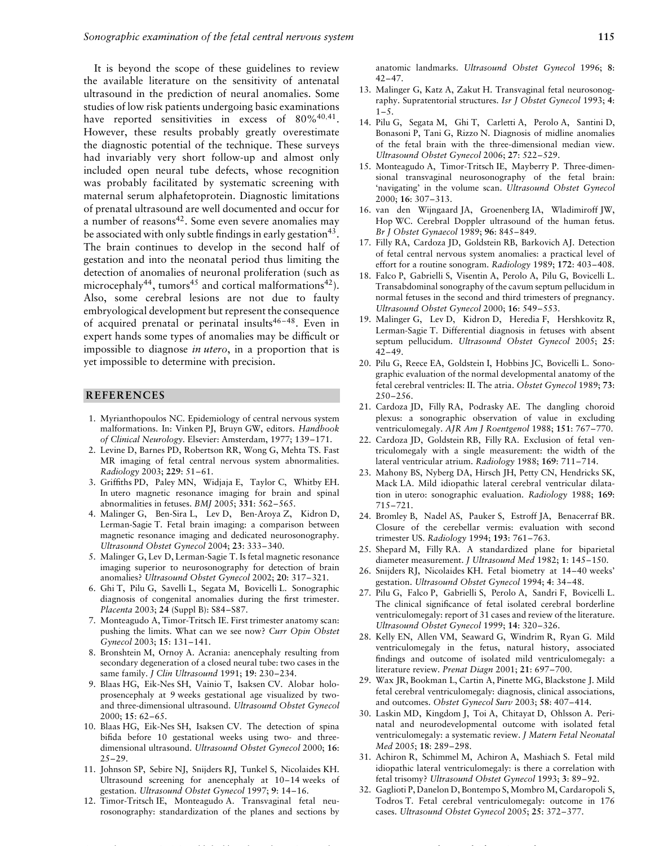It is beyond the scope of these guidelines to review the available literature on the sensitivity of antenatal ultrasound in the prediction of neural anomalies. Some studies of low risk patients undergoing basic examinations have reported sensitivities in excess of  $80\%^{40,41}$ . However, these results probably greatly overestimate the diagnostic potential of the technique. These surveys had invariably very short follow-up and almost only included open neural tube defects, whose recognition was probably facilitated by systematic screening with maternal serum alphafetoprotein. Diagnostic limitations of prenatal ultrasound are well documented and occur for a number of reasons $42$ . Some even severe anomalies may be associated with only subtle findings in early gestation<sup>43</sup>. The brain continues to develop in the second half of gestation and into the neonatal period thus limiting the detection of anomalies of neuronal proliferation (such as microcephaly<sup>44</sup>, tumors<sup>45</sup> and cortical malformations<sup>42</sup>). Also, some cerebral lesions are not due to faulty embryological development but represent the consequence of acquired prenatal or perinatal insults<sup>46-48</sup>. Even in expert hands some types of anomalies may be difficult or impossible to diagnose *in utero*, in a proportion that is yet impossible to determine with precision.

#### **REFERENCES**

- 1. Myrianthopoulos NC. Epidemiology of central nervous system malformations. In: Vinken PJ, Bruyn GW, editors. *Handbook of Clinical Neurology*. Elsevier: Amsterdam, 1977; 139–171.
- 2. Levine D, Barnes PD, Robertson RR, Wong G, Mehta TS. Fast MR imaging of fetal central nervous system abnormalities. *Radiology* 2003; **229**: 51–61.
- 3. Griffiths PD, Paley MN, Widjaja E, Taylor C, Whitby EH. In utero magnetic resonance imaging for brain and spinal abnormalities in fetuses. *BMJ* 2005; **331**: 562–565.
- 4. Malinger G, Ben-Sira L, Lev D, Ben-Aroya Z, Kidron D, Lerman-Sagie T. Fetal brain imaging: a comparison between magnetic resonance imaging and dedicated neurosonography. *Ultrasound Obstet Gynecol* 2004; **23**: 333–340.
- 5. Malinger G, Lev D, Lerman-Sagie T. Is fetal magnetic resonance imaging superior to neurosonography for detection of brain anomalies? *Ultrasound Obstet Gynecol* 2002; **20**: 317–321.
- 6. Ghi T, Pilu G, Savelli L, Segata M, Bovicelli L. Sonographic diagnosis of congenital anomalies during the first trimester. *Placenta* 2003; **24** (Suppl B): S84–S87.
- 7. Monteagudo A, Timor-Tritsch IE. First trimester anatomy scan: pushing the limits. What can we see now? *Curr Opin Obstet Gynecol* 2003; **15**: 131–141.
- 8. Bronshtein M, Ornoy A. Acrania: anencephaly resulting from secondary degeneration of a closed neural tube: two cases in the same family. *J Clin Ultrasound* 1991; **19**: 230–234.
- 9. Blaas HG, Eik-Nes SH, Vainio T, Isaksen CV. Alobar holoprosencephaly at 9 weeks gestational age visualized by twoand three-dimensional ultrasound. *Ultrasound Obstet Gynecol* 2000; **15**: 62–65.
- 10. Blaas HG, Eik-Nes SH, Isaksen CV. The detection of spina bifida before 10 gestational weeks using two- and threedimensional ultrasound. *Ultrasound Obstet Gynecol* 2000; **16**: 25–29.
- 11. Johnson SP, Sebire NJ, Snijders RJ, Tunkel S, Nicolaides KH. Ultrasound screening for anencephaly at 10–14 weeks of gestation. *Ultrasound Obstet Gynecol* 1997; **9**: 14–16.
- 12. Timor-Tritsch IE, Monteagudo A. Transvaginal fetal neurosonography: standardization of the planes and sections by
- 13. Malinger G, Katz A, Zakut H. Transvaginal fetal neurosonography. Supratentorial structures. *Isr J Obstet Gynecol* 1993; **4**:  $1 - 5$ .
- 14. Pilu G, Segata M, Ghi T, Carletti A, Perolo A, Santini D, Bonasoni P, Tani G, Rizzo N. Diagnosis of midline anomalies of the fetal brain with the three-dimensional median view. *Ultrasound Obstet Gynecol* 2006; **27**: 522–529.
- 15. Monteagudo A, Timor-Tritsch IE, Mayberry P. Three-dimensional transvaginal neurosonography of the fetal brain: 'navigating' in the volume scan. *Ultrasound Obstet Gynecol* 2000; **16**: 307–313.
- 16. van den Wijngaard JA, Groenenberg IA, Wladimiroff JW, Hop WC. Cerebral Doppler ultrasound of the human fetus. *Br J Obstet Gynaecol* 1989; **96**: 845–849.
- 17. Filly RA, Cardoza JD, Goldstein RB, Barkovich AJ. Detection of fetal central nervous system anomalies: a practical level of effort for a routine sonogram. *Radiology* 1989; **172**: 403–408.
- 18. Falco P, Gabrielli S, Visentin A, Perolo A, Pilu G, Bovicelli L. Transabdominal sonography of the cavum septum pellucidum in normal fetuses in the second and third trimesters of pregnancy. *Ultrasound Obstet Gynecol* 2000; **16**: 549–553.
- 19. Malinger G, Lev D, Kidron D, Heredia F, Hershkovitz R, Lerman-Sagie T. Differential diagnosis in fetuses with absent septum pellucidum. *Ultrasound Obstet Gynecol* 2005; **25**: 42–49.
- 20. Pilu G, Reece EA, Goldstein I, Hobbins JC, Bovicelli L. Sonographic evaluation of the normal developmental anatomy of the fetal cerebral ventricles: II. The atria. *Obstet Gynecol* 1989; **73**: 250–256.
- 21. Cardoza JD, Filly RA, Podrasky AE. The dangling choroid plexus: a sonographic observation of value in excluding ventriculomegaly. *AJR Am J Roentgenol* 1988; **151**: 767–770.
- 22. Cardoza JD, Goldstein RB, Filly RA. Exclusion of fetal ventriculomegaly with a single measurement: the width of the lateral ventricular atrium. *Radiology* 1988; **169**: 711–714.
- 23. Mahony BS, Nyberg DA, Hirsch JH, Petty CN, Hendricks SK, Mack LA. Mild idiopathic lateral cerebral ventricular dilatation in utero: sonographic evaluation. *Radiology* 1988; **169**: 715–721.
- 24. Bromley B, Nadel AS, Pauker S, Estroff JA, Benacerraf BR. Closure of the cerebellar vermis: evaluation with second trimester US. *Radiology* 1994; **193**: 761–763.
- 25. Shepard M, Filly RA. A standardized plane for biparietal diameter measurement. *J Ultrasound Med* 1982; **1**: 145–150.
- 26. Snijders RJ, Nicolaides KH. Fetal biometry at 14–40 weeks' gestation. *Ultrasound Obstet Gynecol* 1994; **4**: 34–48.
- 27. Pilu G, Falco P, Gabrielli S, Perolo A, Sandri F, Bovicelli L. The clinical significance of fetal isolated cerebral borderline ventriculomegaly: report of 31 cases and review of the literature. *Ultrasound Obstet Gynecol* 1999; **14**: 320–326.
- 28. Kelly EN, Allen VM, Seaward G, Windrim R, Ryan G. Mild ventriculomegaly in the fetus, natural history, associated findings and outcome of isolated mild ventriculomegaly: a literature review. *Prenat Diagn* 2001; **21**: 697–700.
- 29. Wax JR, Bookman L, Cartin A, Pinette MG, Blackstone J. Mild fetal cerebral ventriculomegaly: diagnosis, clinical associations, and outcomes. *Obstet Gynecol Surv* 2003; **58**: 407–414.
- 30. Laskin MD, Kingdom J, Toi A, Chitayat D, Ohlsson A. Perinatal and neurodevelopmental outcome with isolated fetal ventriculomegaly: a systematic review. *J Matern Fetal Neonatal Med* 2005; **18**: 289–298.
- 31. Achiron R, Schimmel M, Achiron A, Mashiach S. Fetal mild idiopathic lateral ventriculomegaly: is there a correlation with fetal trisomy? *Ultrasound Obstet Gynecol* 1993; **3**: 89–92.
- 32. Gaglioti P, Danelon D, Bontempo S, Mombro M, Cardaropoli S, Todros T. Fetal cerebral ventriculomegaly: outcome in 176 cases. *Ultrasound Obstet Gynecol* 2005; **25**: 372–377.